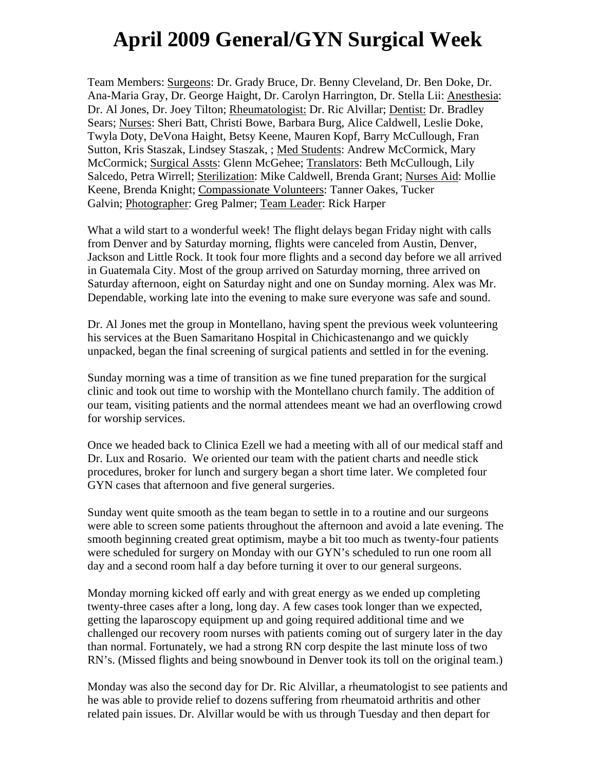## **April 2009 General/GYN Surgical Week**

Team Members: Surgeons: Dr. Grady Bruce, Dr. Benny Cleveland, Dr. Ben Doke, Dr. Ana-Maria Gray, Dr. George Haight, Dr. Carolyn Harrington, Dr. Stella Lii: Anesthesia: Dr. Al Jones, Dr. Joey Tilton; Rheumatologist: Dr. Ric Alvillar; Dentist: Dr. Bradley Sears; Nurses: Sheri Batt, Christi Bowe, Barbara Burg, Alice Caldwell, Leslie Doke, Twyla Doty, DeVona Haight, Betsy Keene, Mauren Kopf, Barry McCullough, Fran Sutton, Kris Staszak, Lindsey Staszak, ; Med Students: Andrew McCormick, Mary McCormick; Surgical Assts: Glenn McGehee; Translators: Beth McCullough, Lily Salcedo, Petra Wirrell; Sterilization: Mike Caldwell, Brenda Grant; Nurses Aid: Mollie Keene, Brenda Knight; Compassionate Volunteers: Tanner Oakes, Tucker Galvin; Photographer: Greg Palmer; Team Leader: Rick Harper

What a wild start to a wonderful week! The flight delays began Friday night with calls from Denver and by Saturday morning, flights were canceled from Austin, Denver, Jackson and Little Rock. It took four more flights and a second day before we all arrived in Guatemala City. Most of the group arrived on Saturday morning, three arrived on Saturday afternoon, eight on Saturday night and one on Sunday morning. Alex was Mr. Dependable, working late into the evening to make sure everyone was safe and sound.

Dr. Al Jones met the group in Montellano, having spent the previous week volunteering his services at the Buen Samaritano Hospital in Chichicastenango and we quickly unpacked, began the final screening of surgical patients and settled in for the evening.

Sunday morning was a time of transition as we fine tuned preparation for the surgical clinic and took out time to worship with the Montellano church family. The addition of our team, visiting patients and the normal attendees meant we had an overflowing crowd for worship services.

Once we headed back to Clinica Ezell we had a meeting with all of our medical staff and Dr. Lux and Rosario. We oriented our team with the patient charts and needle stick procedures, broker for lunch and surgery began a short time later. We completed four GYN cases that afternoon and five general surgeries.

Sunday went quite smooth as the team began to settle in to a routine and our surgeons were able to screen some patients throughout the afternoon and avoid a late evening. The smooth beginning created great optimism, maybe a bit too much as twenty-four patients were scheduled for surgery on Monday with our GYN's scheduled to run one room all day and a second room half a day before turning it over to our general surgeons.

Monday morning kicked off early and with great energy as we ended up completing twenty-three cases after a long, long day. A few cases took longer than we expected, getting the laparoscopy equipment up and going required additional time and we challenged our recovery room nurses with patients coming out of surgery later in the day than normal. Fortunately, we had a strong RN corp despite the last minute loss of two RN's. (Missed flights and being snowbound in Denver took its toll on the original team.)

Monday was also the second day for Dr. Ric Alvillar, a rheumatologist to see patients and he was able to provide relief to dozens suffering from rheumatoid arthritis and other related pain issues. Dr. Alvillar would be with us through Tuesday and then depart for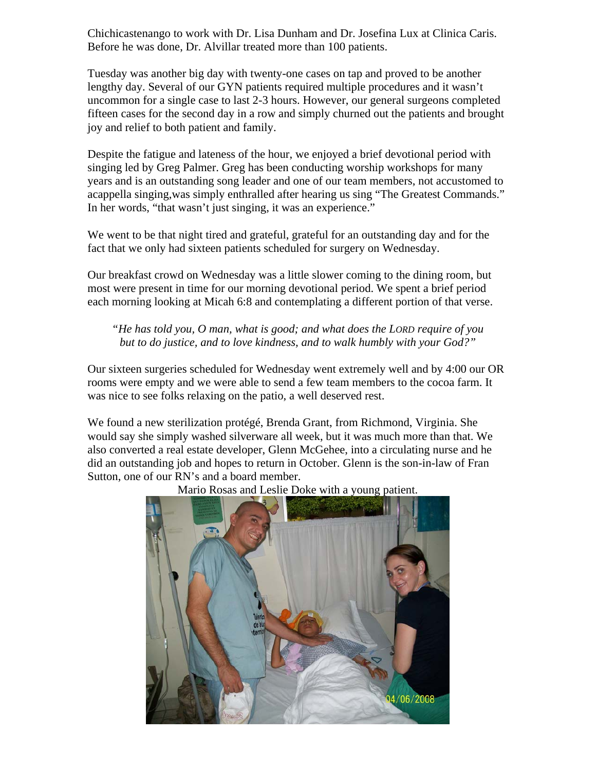Chichicastenango to work with Dr. Lisa Dunham and Dr. Josefina Lux at Clinica Caris. Before he was done, Dr. Alvillar treated more than 100 patients.

Tuesday was another big day with twenty-one cases on tap and proved to be another lengthy day. Several of our GYN patients required multiple procedures and it wasn't uncommon for a single case to last 2-3 hours. However, our general surgeons completed fifteen cases for the second day in a row and simply churned out the patients and brought joy and relief to both patient and family.

Despite the fatigue and lateness of the hour, we enjoyed a brief devotional period with singing led by Greg Palmer. Greg has been conducting worship workshops for many years and is an outstanding song leader and one of our team members, not accustomed to acappella singing,was simply enthralled after hearing us sing "The Greatest Commands." In her words, "that wasn't just singing, it was an experience."

We went to be that night tired and grateful, grateful for an outstanding day and for the fact that we only had sixteen patients scheduled for surgery on Wednesday.

Our breakfast crowd on Wednesday was a little slower coming to the dining room, but most were present in time for our morning devotional period. We spent a brief period each morning looking at Micah 6:8 and contemplating a different portion of that verse.

*"He has told you, O man, what is good; and what does the LORD require of you but to do justice, and to love kindness, and to walk humbly with your God?"* 

Our sixteen surgeries scheduled for Wednesday went extremely well and by 4:00 our OR rooms were empty and we were able to send a few team members to the cocoa farm. It was nice to see folks relaxing on the patio, a well deserved rest.

We found a new sterilization protégé, Brenda Grant, from Richmond, Virginia. She would say she simply washed silverware all week, but it was much more than that. We also converted a real estate developer, Glenn McGehee, into a circulating nurse and he did an outstanding job and hopes to return in October. Glenn is the son-in-law of Fran Sutton, one of our RN's and a board member.



Mario Rosas and Leslie Doke with a young patient.